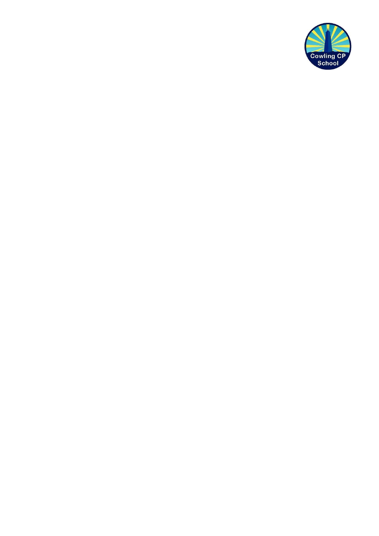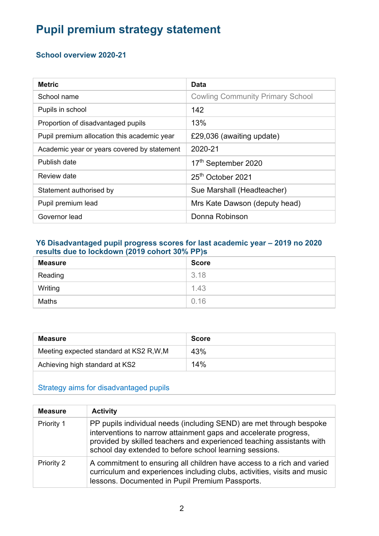# **Pupil premium strategy statement**

#### **School overview 2020-21**

| <b>Metric</b>                               | <b>Data</b>                             |
|---------------------------------------------|-----------------------------------------|
| School name                                 | <b>Cowling Community Primary School</b> |
| Pupils in school                            | 142                                     |
| Proportion of disadvantaged pupils          | 13%                                     |
| Pupil premium allocation this academic year | £29,036 (awaiting update)               |
| Academic year or years covered by statement | 2020-21                                 |
| Publish date                                | 17 <sup>th</sup> September 2020         |
| Review date                                 | 25 <sup>th</sup> October 2021           |
| Statement authorised by                     | Sue Marshall (Headteacher)              |
| Pupil premium lead                          | Mrs Kate Dawson (deputy head)           |
| Governor lead                               | Donna Robinson                          |

#### **Y6 Disadvantaged pupil progress scores for last academic year – 2019 no 2020 results due to lockdown (2019 cohort 30% PP)s**

| <b>Measure</b> | <b>Score</b> |
|----------------|--------------|
| Reading        | 3.18         |
| Writing        | 1.43         |
| <b>Maths</b>   | 0.16         |

| <b>Measure</b>                           | <b>Score</b> |
|------------------------------------------|--------------|
| Meeting expected standard at KS2 R, W, M | 43%          |
| Achieving high standard at KS2           | 14%          |

#### Strategy aims for disadvantaged pupils

| <b>Measure</b> | <b>Activity</b>                                                                                                                                                                                                                                                             |
|----------------|-----------------------------------------------------------------------------------------------------------------------------------------------------------------------------------------------------------------------------------------------------------------------------|
| Priority 1     | PP pupils individual needs (including SEND) are met through bespoke<br>interventions to narrow attainment gaps and accelerate progress,<br>provided by skilled teachers and experienced teaching assistants with<br>school day extended to before school learning sessions. |
| Priority 2     | A commitment to ensuring all children have access to a rich and varied<br>curriculum and experiences including clubs, activities, visits and music<br>lessons. Documented in Pupil Premium Passports.                                                                       |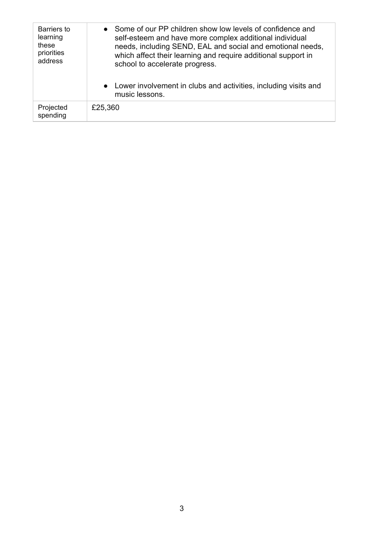| Barriers to<br>learning<br>these<br>priorities<br>address | • Some of our PP children show low levels of confidence and<br>self-esteem and have more complex additional individual<br>needs, including SEND, EAL and social and emotional needs,<br>which affect their learning and require additional support in<br>school to accelerate progress.<br>Lower involvement in clubs and activities, including visits and<br>$\bullet$<br>music lessons. |
|-----------------------------------------------------------|-------------------------------------------------------------------------------------------------------------------------------------------------------------------------------------------------------------------------------------------------------------------------------------------------------------------------------------------------------------------------------------------|
| Projected<br>spending                                     | £25,360                                                                                                                                                                                                                                                                                                                                                                                   |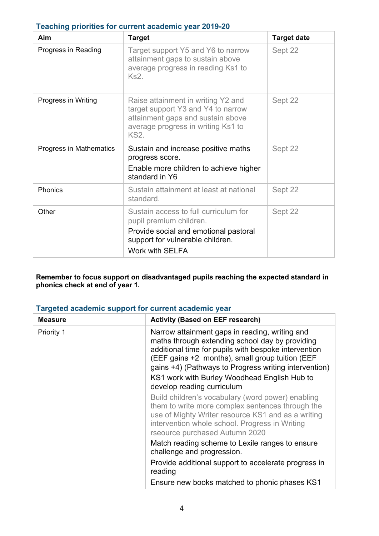|  | Teaching priorities for current academic year 2019-20 |  |
|--|-------------------------------------------------------|--|
|--|-------------------------------------------------------|--|

| Aim                     | <b>Target</b>                                                                                                                                                      | <b>Target date</b> |
|-------------------------|--------------------------------------------------------------------------------------------------------------------------------------------------------------------|--------------------|
| Progress in Reading     | Target support Y5 and Y6 to narrow<br>attainment gaps to sustain above<br>average progress in reading Ks1 to<br>Ks <sub>2</sub> .                                  | Sept 22            |
| Progress in Writing     | Raise attainment in writing Y2 and<br>target support Y3 and Y4 to narrow<br>attainment gaps and sustain above<br>average progress in writing Ks1 to<br><b>KS2.</b> | Sept 22            |
| Progress in Mathematics | Sustain and increase positive maths<br>progress score.<br>Enable more children to achieve higher<br>standard in Y6                                                 | Sept 22            |
| Phonics                 | Sustain attainment at least at national<br>standard.                                                                                                               | Sept 22            |
| Other                   | Sustain access to full curriculum for<br>pupil premium children.<br>Provide social and emotional pastoral<br>support for vulnerable children.<br>Work with SELFA   | Sept 22            |

**Remember to focus support on disadvantaged pupils reaching the expected standard in phonics check at end of year 1.**

#### **Targeted academic support for current academic year**

| <b>Measure</b>    | <b>Activity (Based on EEF research)</b>                                                                                                                                                                                                                                                                                                             |
|-------------------|-----------------------------------------------------------------------------------------------------------------------------------------------------------------------------------------------------------------------------------------------------------------------------------------------------------------------------------------------------|
| <b>Priority 1</b> | Narrow attainment gaps in reading, writing and<br>maths through extending school day by providing<br>additional time for pupils with bespoke intervention<br>(EEF gains +2 months), small group tuition (EEF<br>gains +4) (Pathways to Progress writing intervention)<br>KS1 work with Burley Woodhead English Hub to<br>develop reading curriculum |
|                   | Build children's vocabulary (word power) enabling<br>them to write more complex sentences through the<br>use of Mighty Writer resource KS1 and as a writing<br>intervention whole school. Progress in Writing<br>rseource purchased Autumn 2020                                                                                                     |
|                   | Match reading scheme to Lexile ranges to ensure<br>challenge and progression.                                                                                                                                                                                                                                                                       |
|                   | Provide additional support to accelerate progress in<br>reading                                                                                                                                                                                                                                                                                     |
|                   | Ensure new books matched to phonic phases KS1                                                                                                                                                                                                                                                                                                       |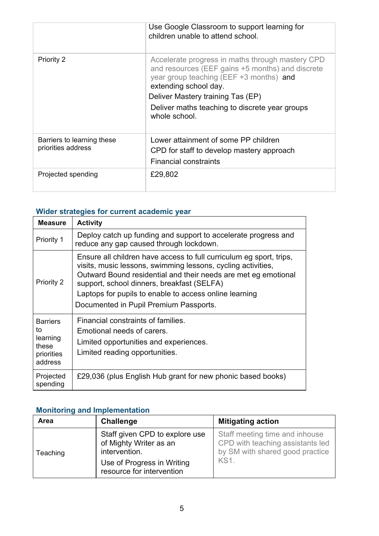|                                                  | Use Google Classroom to support learning for<br>children unable to attend school.                                                                                                                                                                                                |
|--------------------------------------------------|----------------------------------------------------------------------------------------------------------------------------------------------------------------------------------------------------------------------------------------------------------------------------------|
| <b>Priority 2</b>                                | Accelerate progress in maths through mastery CPD<br>and resources (EEF gains +5 months) and discrete<br>year group teaching (EEF +3 months) and<br>extending school day.<br>Deliver Mastery training Tas (EP)<br>Deliver maths teaching to discrete year groups<br>whole school. |
| Barriers to learning these<br>priorities address | Lower attainment of some PP children<br>CPD for staff to develop mastery approach<br><b>Financial constraints</b>                                                                                                                                                                |
| Projected spending                               | £29,802                                                                                                                                                                                                                                                                          |

## **Wider strategies for current academic year**

| <b>Measure</b>                                                      | <b>Activity</b>                                                                                                                                                                                                                                                                                                                                         |
|---------------------------------------------------------------------|---------------------------------------------------------------------------------------------------------------------------------------------------------------------------------------------------------------------------------------------------------------------------------------------------------------------------------------------------------|
| Priority 1                                                          | Deploy catch up funding and support to accelerate progress and<br>reduce any gap caused through lockdown.                                                                                                                                                                                                                                               |
| Priority 2                                                          | Ensure all children have access to full curriculum eg sport, trips,<br>visits, music lessons, swimming lessons, cycling activities,<br>Outward Bound residential and their needs are met eg emotional<br>support, school dinners, breakfast (SELFA)<br>Laptops for pupils to enable to access online learning<br>Documented in Pupil Premium Passports. |
| <b>Barriers</b><br>tο<br>learning<br>these<br>priorities<br>address | Financial constraints of families.<br>Emotional needs of carers.<br>Limited opportunities and experiences.<br>Limited reading opportunities.                                                                                                                                                                                                            |
| Projected<br>spending                                               | £29,036 (plus English Hub grant for new phonic based books)                                                                                                                                                                                                                                                                                             |

## **Monitoring and Implementation**

| Area     | Challenge                                                                 | <b>Mitigating action</b>                                                                              |
|----------|---------------------------------------------------------------------------|-------------------------------------------------------------------------------------------------------|
| Teaching | Staff given CPD to explore use<br>of Mighty Writer as an<br>intervention. | Staff meeting time and inhouse<br>CPD with teaching assistants led<br>by SM with shared good practice |
|          | Use of Progress in Writing<br>resource for intervention                   | KS <sub>1</sub>                                                                                       |